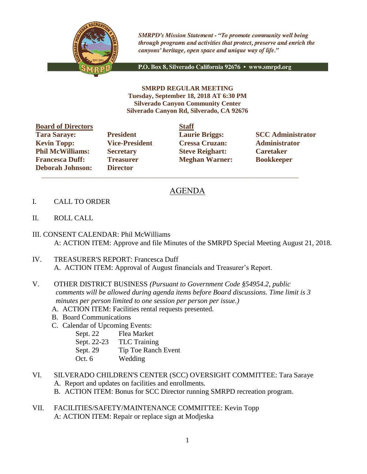

**SMRPD's Mission Statement - "To promote community well being** through programs and activities that protect, preserve and enrich the canyons' heritage, open space and unique way of life."

P.O. Box 8, Silverado California 92676 · www.smrpd.org

**SMRPD REGULAR MEETING Tuesday, September 18, 2018 AT 6:30 PM Silverado Canyon Community Center Silverado Canyon Rd, Silverado, CA 92676**

| <b>Board of Directors</b> |                       | <b>Staff</b> |
|---------------------------|-----------------------|--------------|
| <b>Tara Saraye:</b>       | <b>President</b>      | Laur         |
| <b>Kevin Topp:</b>        | <b>Vice-President</b> | <b>Cres</b>  |
| <b>Phil McWilliams:</b>   | <b>Secretary</b>      | <b>Steve</b> |
| <b>Francesca Duff:</b>    | <b>Treasurer</b>      | Megl         |
| <b>Deborah Johnson:</b>   | <b>Director</b>       |              |

**Director**  $\mathcal{L}_\text{max}$  , and the set of the set of the set of the set of the set of the set of the set of the set of the set of the set of the set of the set of the set of the set of the set of the set of the set of the set of the

**Kevin Toppis Exercise Cressa Cruzan: Administrator Philo McGive Reighart: Philosopherene Caretaker Freasurer Meghan Warner: Bookkeeper** 

**Tarages: President Laurie Briggs: SCC Administrator** 

## AGENDA

- I. CALL TO ORDER
- II. ROLL CALL
- III. CONSENT CALENDAR: Phil McWilliams A: ACTION ITEM: Approve and file Minutes of the SMRPD Special Meeting August 21, 2018.
- IV. TREASURER'S REPORT: Francesca Duff A. ACTION ITEM: Approval of August financials and Treasurer's Report.
- V. OTHER DISTRICT BUSINESS *(Pursuant to Government Code §54954.2, public comments will be allowed during agenda items before Board discussions. Time limit is 3 minutes per person limited to one session per person per issue.)*
	- A. ACTION ITEM: Facilities rental requests presented.
	- B. Board Communications
	- C. Calendar of Upcoming Events:
		- Sept. 22 Flea Market
		- Sept. 22-23 TLC Training
		- Sept. 29 Tip Toe Ranch Event
		- Oct. 6 Wedding
- VI. SILVERADO CHILDREN'S CENTER (SCC) OVERSIGHT COMMITTEE: Tara Saraye A. Report and updates on facilities and enrollments.
	- B. ACTION ITEM: Bonus for SCC Director running SMRPD recreation program.
- VII. FACILITIES/SAFETY/MAINTENANCE COMMITTEE: Kevin Topp A: ACTION ITEM: Repair or replace sign at Modjeska